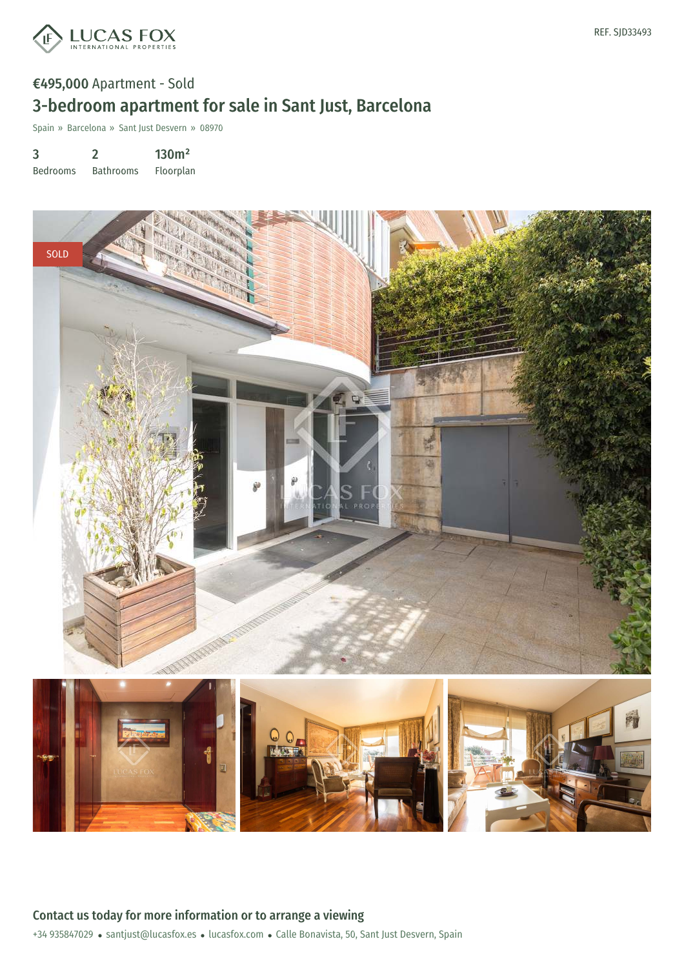

# €495,000 Apartment - Sold 3-bedroom apartment for sale in Sant Just, Barcelona

Spain » Barcelona » Sant Just Desvern » 08970

3 2 130m²

Bedrooms Bathrooms Floorplan

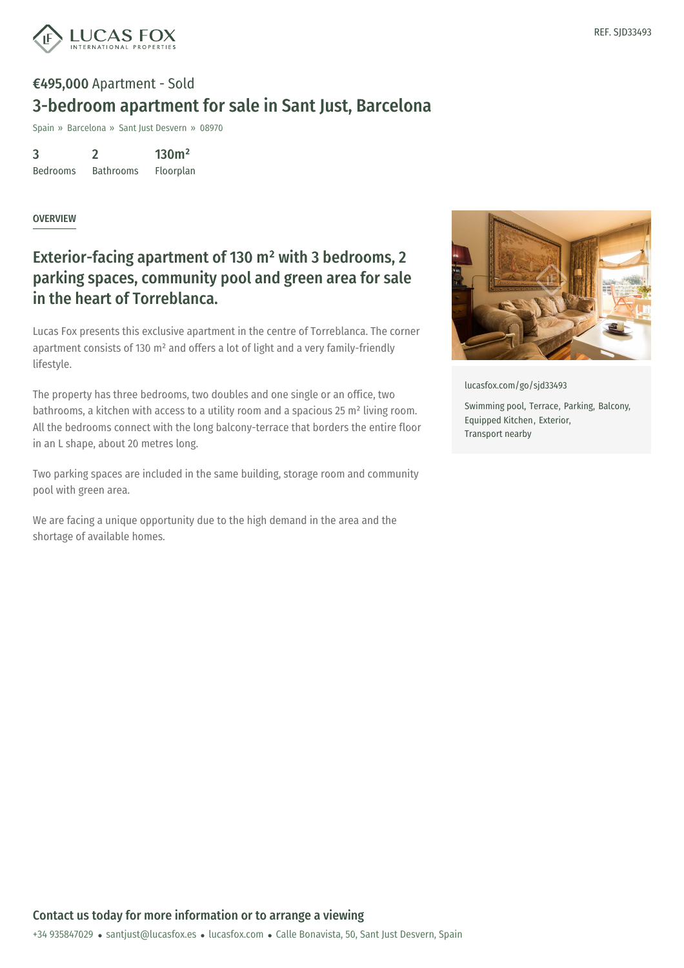

## €495,000 Apartment - Sold 3-bedroom apartment for sale in Sant Just, Barcelona

Spain » Barcelona » Sant Just Desvern » 08970

3 Bedrooms 2 Bathrooms 130m² Floorplan

#### **OVERVIEW**

### Exterior-facing apartment of 130 m² with 3 bedrooms, 2 parking spaces, community pool and green area for sale in the heart of Torreblanca.

Lucas Fox presents this exclusive apartment in the centre of Torreblanca. The corner apartment consists of 130 m² and offers a lot of light and a very family-friendly lifestyle.

The property has three bedrooms, two doubles and one single or an office, two bathrooms, a kitchen with access to a utility room and a spacious 25 m² living room. All the bedrooms connect with the long balcony-terrace that borders the entire floor in an L shape, about 20 metres long.

Two parking spaces are included in the same building, storage room and community pool with green area.

We are facing a unique opportunity due to the high demand in the area and the shortage of available homes.



[lucasfox.com/go/sjd33493](https://www.lucasfox.com/go/sjd33493)

Swimming pool, Terrace, Parking, Balcony, Equipped Kitchen, Exterior, Transport nearby